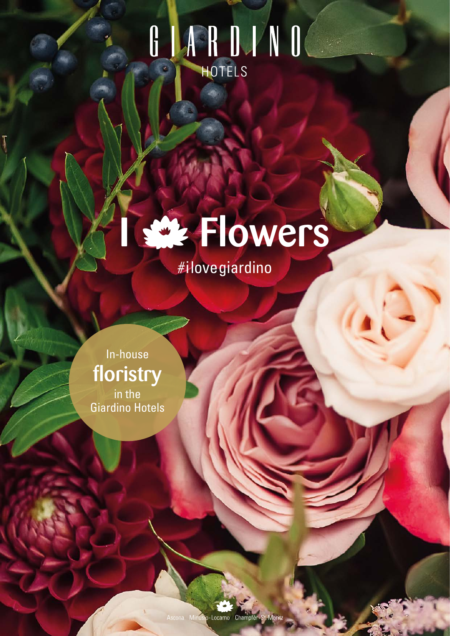# G J A R D J N O



In-house floristry in the<br>Giardino Hotels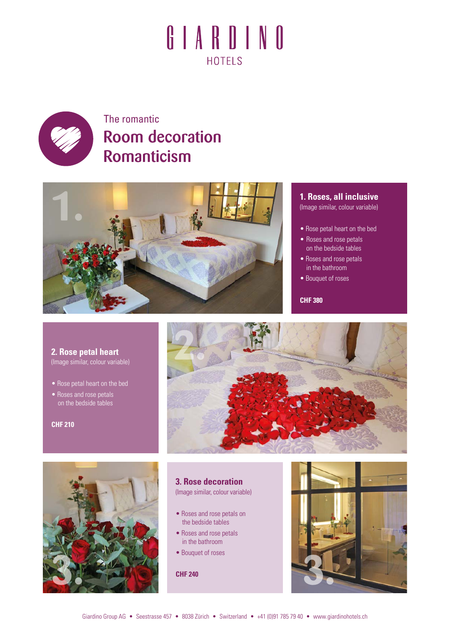

### The romantic Room decoration Romanticism



#### **1. Roses, all inclusive**

(Image similar, colour variable)

- Rose petal heart on the bed
- Roses and rose petals on the bedside tables
- Roses and rose petals in the bathroom
- Bouquet of roses

**CHF 380**

**2. Rose petal heart**  (Image similar, colour variable)

- Rose petal heart on the bed
- Roses and rose petals on the bedside tables

#### **CHF 210**





#### **3. Rose decoration**  (Image similar, colour variable)

- Roses and rose petals on the bedside tables
- Roses and rose petals in the bathroom
- Bouquet of roses

**CHF 240**

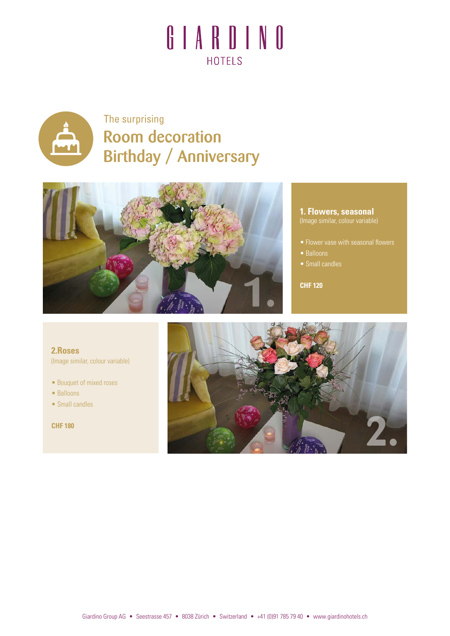

### The surprising Room decoration Birthday / Anniversary



#### **1. Flowers, seasonal** (Image similar, colour variable)

- 
- Balloons
- 

**CHF 120**

**2.Roses** (Image similar, colour variable)

- Bouquet of mixed roses
- Balloons
- Small candles

**CHF 180**

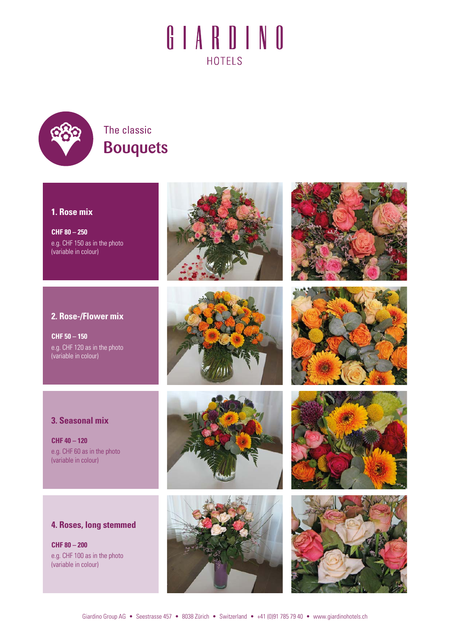

### The classic Bouquets

### **1. Rose mix**

**CHF 80 – 250** e.g. CHF 150 as in the photo (variable in colour)

### **2. Rose-/Flower mix**

**CHF 50 – 150** e.g. CHF 120 as in the photo (variable in colour)

















### **3. Seasonal mix**

**CHF 40 – 120** e.g. CHF 60 as in the photo (variable in colour)

### **4. Roses, long stemmed**

**CHF 80 – 200** e.g. CHF 100 as in the photo (variable in colour)